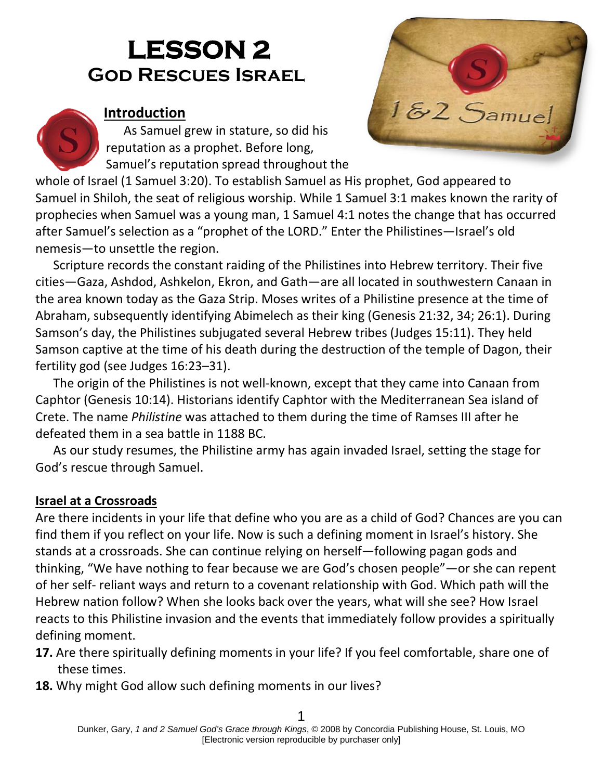# **LESSON 2 God Rescues Israel**

# **Introduction**

As Samuel grew in stature, so did his reputation as a prophet. Before long, Samuel's reputation spread throughout the

whole of Israel (1 Samuel 3:20). To establish Samuel as His prophet, God appeared to Samuel in Shiloh, the seat of religious worship. While 1 Samuel 3:1 makes known the rarity of prophecies when Samuel was a young man, 1 Samuel 4:1 notes the change that has occurred after Samuel's selection as a "prophet of the LORD." Enter the Philistines—Israel's old nemesis—to unsettle the region.

Scripture records the constant raiding of the Philistines into Hebrew territory. Their five cities—Gaza, Ashdod, Ashkelon, Ekron, and Gath—are all located in southwestern Canaan in the area known today as the Gaza Strip. Moses writes of a Philistine presence at the time of Abraham, subsequently identifying Abimelech as their king (Genesis 21:32, 34; 26:1). During Samson's day, the Philistines subjugated several Hebrew tribes (Judges 15:11). They held Samson captive at the time of his death during the destruction of the temple of Dagon, their fertility god (see Judges 16:23–31).

The origin of the Philistines is not well-known, except that they came into Canaan from Caphtor (Genesis 10:14). Historians identify Caphtor with the Mediterranean Sea island of Crete. The name *Philistine* was attached to them during the time of Ramses III after he defeated them in a sea battle in 1188 BC.

As our study resumes, the Philistine army has again invaded Israel, setting the stage for God's rescue through Samuel.

# **Israel at a Crossroads**

Are there incidents in your life that define who you are as a child of God? Chances are you can find them if you reflect on your life. Now is such a defining moment in Israel's history. She stands at a crossroads. She can continue relying on herself—following pagan gods and thinking, "We have nothing to fear because we are God's chosen people"—or she can repent of her self- reliant ways and return to a covenant relationship with God. Which path will the Hebrew nation follow? When she looks back over the years, what will she see? How Israel reacts to this Philistine invasion and the events that immediately follow provides a spiritually defining moment.

- **17.** Are there spiritually defining moments in your life? If you feel comfortable, share one of these times.
- **18.** Why might God allow such defining moments in our lives?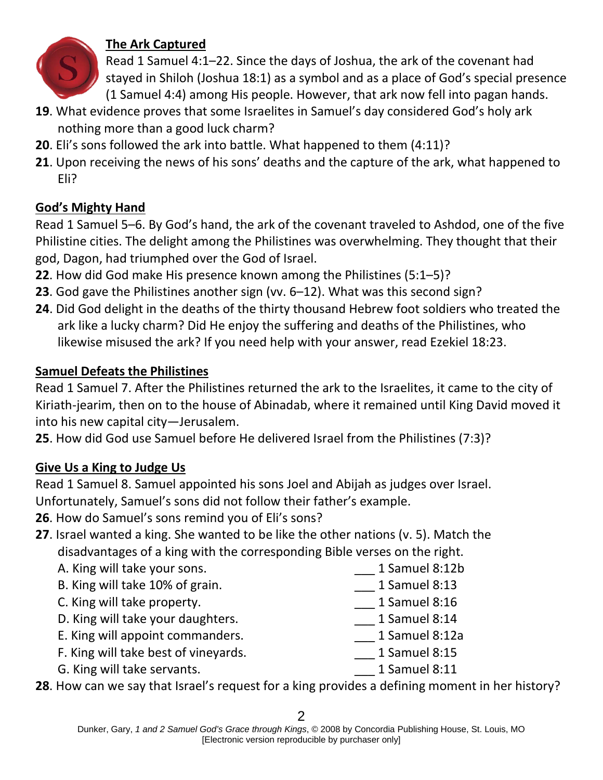

# **The Ark Captured**

Read 1 Samuel 4:1–22. Since the days of Joshua, the ark of the covenant had stayed in Shiloh (Joshua 18:1) as a symbol and as a place of God's special presence (1 Samuel 4:4) among His people. However, that ark now fell into pagan hands.

- **19**. What evidence proves that some Israelites in Samuel's day considered God's holy ark nothing more than a good luck charm?
- **20**. Eli's sons followed the ark into battle. What happened to them (4:11)?
- **21**. Upon receiving the news of his sons' deaths and the capture of the ark, what happened to Eli?

# **God's Mighty Hand**

Read 1 Samuel 5–6. By God's hand, the ark of the covenant traveled to Ashdod, one of the five Philistine cities. The delight among the Philistines was overwhelming. They thought that their god, Dagon, had triumphed over the God of Israel.

- **22**. How did God make His presence known among the Philistines (5:1–5)?
- **23**. God gave the Philistines another sign (vv. 6–12). What was this second sign?
- **24**. Did God delight in the deaths of the thirty thousand Hebrew foot soldiers who treated the ark like a lucky charm? Did He enjoy the suffering and deaths of the Philistines, who likewise misused the ark? If you need help with your answer, read Ezekiel 18:23.

# **Samuel Defeats the Philistines**

Read 1 Samuel 7. After the Philistines returned the ark to the Israelites, it came to the city of Kiriath-jearim, then on to the house of Abinadab, where it remained until King David moved it into his new capital city—Jerusalem.

**25**. How did God use Samuel before He delivered Israel from the Philistines (7:3)?

# **Give Us a King to Judge Us**

Read 1 Samuel 8. Samuel appointed his sons Joel and Abijah as judges over Israel. Unfortunately, Samuel's sons did not follow their father's example.

**26**. How do Samuel's sons remind you of Eli's sons?

- **27**. Israel wanted a king. She wanted to be like the other nations (v. 5). Match the disadvantages of a king with the corresponding Bible verses on the right.
	- A. King will take your sons. <br>
	and the same of the samuel 8:12b B. King will take 10% of grain. The same of the same is a samuel 8:13 C. King will take property. The samuel 8:16 D. King will take your daughters. The manuscript of the samuel 8:14 E. King will appoint commanders. The manner of the samuel 8:12a F. King will take best of vineyards. The same of the samuel 8:15 G. King will take servants. The same server of the server of the server of the server of the server of the server of the server of the server of the server of the server of the server of the server of the server of the ser

**28**. How can we say that Israel's request for a king provides a defining moment in her history?